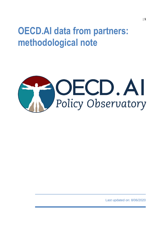## **OECD.AI data from partners: methodological note**



Last updated on: 8/06/2020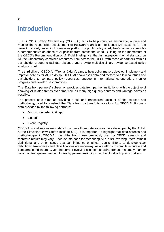### **Introduction**

The OECD AI Policy Observatory (OECD.AI) aims to help countries encourage, nurture and monitor the responsible development of trustworthy artificial intelligence (AI) systems for the benefit of society. As an inclusive online platform for public policy on AI, the Observatory provides a comprehensive database of AI policies from across the world. Building on the momentum of the OECD's Recommendation on Artificial Intelligence, the first intergovernmental standard on AI, the Observatory combines resources from across the OECD with those of partners from all stakeholder groups to facilitate dialogue and provide multidisciplinary, evidence-based policy analysis on AI.

The third pillar of OECD.AI, "Trends & data", aims to help policy makers develop, implement and improve policies for AI. To do so, OECD.AI showcases data and metrics to allow countries and stakeholders to compare policy responses, engage in international co-operation, monitor progress and develop best practices.

The "Data from partners" subsection provides data from partner institutions, with the objective of showing AI-related trends over time from as many high quality sources and vantage points as possible.

The present note aims at providing a full and transparent account of the sources and methodology used to construct the "Data from partners" visualisations for OECD.AI. It covers data provided by the following partners:

- Microsoft Academic Graph
- **•** LinkedIn
- Event Registry

OECD.AI visualisations using data from these three data sources were developed by the AI Lab at the Slovenian Jožef Stefan Institute (JSI). It is important to highlight that data sources and methodologies in OECD.AI may differ from those previously used for OECD research, and therefore results may vary. Because methods for measuring AI are still evolving, there remain definitional and other issues that can influence empirical results. Efforts to develop clear definitions, taxonomies and classifications are underway, as are efforts to compile accurate and comparable indicators. Given the current evolving situation, showing trends in a timely manner based on transparent methodologies by partner institutions can be of value to policy makers.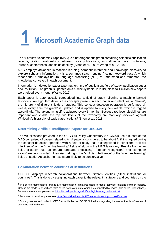

The Microsoft Academic Graph (MAG) is a heterogeneous graph containing scientific publication records, citation relationships between those publications, as well as authors, institutions, journals, conferences, and fields of study (Sinha et al., 2015; Wang et al., 2019).

MAG employs advances in machine learning, semantic inference and knowledge discovery to explore scholarly information. It is a semantic search engine (i.e. not keyword-based), which means that it employs natural language processing (NLP) to understand and remember the knowledge conveyed in each document.

Information is indexed by paper type, author, time of publication, field of study, publication outlet and institution. The graph is updated on a bi-weekly basis. In 2019, close to 1 million new papers were added every month (Wang, 2019).

Each paper is automatically categorised into a field of study following a machine-learned taxonomy. An algorithm detects the concepts present in each paper and identifies, or "learns", the hierarchy of different fields of studies. This concept detection operation is performed biweekly every time the graph<sup>1</sup> is updated and is applied to every new article, which is tagged accordingly. The taxonomy itself is adjusted every 6 months. Because top level disciplines are important and visible, the top two levels of the taxonomy are manually reviewed against Wikipedia's hierarchy of topic classifications<sup>2</sup> (Shen et al., 2018).

#### **Determining Artificial Intelligence papers for OECD.AI**

The visualisations provided in the OECD AI Policy Observatory (OECD.AI) use a subset of the MAG comprised of papers related to AI. A paper is considered to be about AI if it is tagged during the concept detection operation with a field of study that is categorised in either the "artificial intelligence" or the "machine learning" fields of study in the MAG taxonomy. Results from other fields of study, such as "natural language processing", "speech recognition", and "computer vision" are only included if they *also* belong to the "artificial intelligence" or the "machine learning" fields of study. As such, the results are likely to be conservative.

#### **Collaboration between countries or institutions**

OECD.AI displays research collaborations between different entities (either institutions or countries<sup>3</sup>). This is done by assigning each paper to the relevant institutions and countries on the

<sup>&</sup>lt;sup>1</sup> In discrete mathematics, graphs are mathematical structures used to model pairwise relations between objects. Graphs are made up of vertices (also called nodes or points) which are connected by edges (also called links or lines). For more information, please see https://en.wikipedia.org/wiki/Graph\_(discrete\_mathematics).

<sup>&</sup>lt;sup>2</sup> For more information, please see [https://en.wikipedia.org/wiki/Category:Main\\_topic\\_classifications.](https://en.wikipedia.org/wiki/Category:Main_topic_classifications)

<sup>&</sup>lt;sup>3</sup> Country names and codes in OECD.AI abide by the "OECD Guidelines regarding the use of the list of names of countries and territories."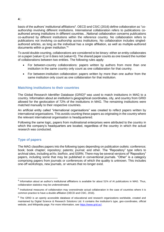basis of the authors' institutional affiliations<sup>4</sup>. OECD and CSIC (2016) define collaboration as "coauthorship involving different institutions. International collaboration refers to publications coauthored among institutions in different countries…National collaboration concerns publications co-authored by different institutions within the reference country. No collaboration refers to publications not involving co-authorship across institutions. No collaboration includes singledauthored articles, as long as the individual has a single affiliation, as well as multiple-authored documents within a given institution."<sup>5</sup>

To avoid double counting, collaborations are considered to be binary: either an entity collaborates on a paper (value=1) or it does not (value=0). The shared paper counts as one toward the number of collaborations between two entities. The following rules apply:

- For between-country collaborations: papers written by authors from more than one institution in the same country only count as one collaboration for that country.
- For between-institution collaboration: papers written by more than one author from the same institution only count as one collaboration for that institution.

#### **Matching institutions to their countries**

The Global Research Identifier Database (GRID)<sup>6</sup> was used to match institutions in MAG to a country. Information about an institution's geographical coordinates, city, and country from GRID allowed for the geolocation of 72% of the institutions in MAG. The remaining institutions were matched manually to their respective countries.

An artificial entity called "international organisations" was created to reflect papers written by international organisations. This avoids counting these papers as originating in the country where the relevant international organisation is headquartered.

Following the same logic, papers from multinational enterprises were attributed to the country in which the company's headquarters are located, regardless of the country in which the actual research was conducted.

#### **Type of papers**

The MAG classifies papers into the following types depending on publication outlets: conference; book; book chapter; repository; patents; journal; and other. The "Repository" type refers to archival sites, including arXiv, bioRxiv, and SSRN. There may be several versions of "Repository" papers, including some that may be published in conventional journals. "Other" is a category comprising papers from journals or conferences of which the quality is unknown. This includes one-off workshops, new journals, or venues that no longer exist.

 $<sup>4</sup>$  Information about an author's institutional affiliations is available for about 51% of AI publications in MAG. Thus,</sup> collaboration statistics may be underestimated.

<sup>&</sup>lt;sup>5</sup> Institutional measures of collaboration may overestimate actual collaboration in the case of countries where it is common practice to have a double affiliation (OECD and CSIC, 2016).

<sup>&</sup>lt;sup>6</sup> The GRID is an openly accessible database of educational and research organizations worldwide, created and maintained by Digital Science & Research Solutions Ltd. It contains the institution's type, geo-coordinates, official website, and Wikipedia page. For more information, see [https://www.grid.ac/.](https://www.grid.ac/)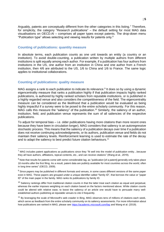Arguably, patents are conceptually different from the other categories in this listing.<sup>7</sup> Therefore, for simplicity, the category "Research publications" – the default setting for most MAG data visualisations on OECD.AI – comprises all paper types except patents. The drop-down menu "Publication type" allows selecting and viewing results for patents only.<sup>8</sup>

#### **Counting of publications: quantity measure**

In absolute terms, each publication counts as one unit towards an entity (a country or an institution). To avoid double-counting, a publication written by multiple authors from different institutions is split equally among each author. For example, if a publication has four authors from institutions in the US, one author from an institution in China and one author from a French institution, then 4/6 are attributed to the US, 1/6 to China and 1/6 to France. The same logic applies to institutional collaborations.

#### **Counting of publications: quality measure**

MAG assigns a rank to each publication to indicate its relevance.<sup>9</sup> It does so by using a dynamic eigencentrality measure that ranks a publication highly if that publication impacts highly ranked publications, is authored by highly ranked scholars from reputable institutions, or is published in a highly regarded venue and also considers the competitiveness of the field. The eigencentrality measure can be considered as the likelihood that a publication would be evaluated as being highly impactful if a survey were to be posed to the entire scholarly community. For this reason, MAG calls this measure the "saliency" of the publication.<sup>10</sup> Similarly, the saliency of an author, institution, field, and publication venue represents the sum of all saliencies of the respective publications.

To adjust for temporal bias – i.e. older publications having more citations than more recent ones because they have been in circulation longer), MAG considers that saliency is an autoregressive stochastic process. This means that the saliency of a publication decays over time if a publication does not receive continuing acknowledgments, or its authors, publication venue and fields do not maintain their saliency levels. Reinforcement learning is used to estimate the rate of the decay and to adapt the saliency to best predict future citation behaviours.<sup>11</sup>

 $7$  MAG includes patent applications as publications since they "fit well into the model of publication entity...because they all have authors, affiliations, topical contents, etc., and can receive citations" (Wang et al., 2019).

<sup>&</sup>lt;sup>8</sup> Note that results for patents come with some considerable lag, as "publication [of a patent] generally only takes place 18 months after the first filing. As a result, patent data are publicly available for most countries across the world, often in long time series" (OECD, 2009).

 $9$  Since papers may be published in different formats and venues, in some cases different versions of the same paper exist in MAG. These papers are grouped under a unique identifier called "family ID", that borrows the value or "paper ID" of the main paper in the family. MAG ranks its publications by family ID.

 $10$  Saliency rankings differ from traditional citation counts in that the latter treat each citation as equal and perpetual, whereas the earlier imposes weighting on each citation based on the factors mentioned above. While citation counts could be altered with relative ease, to boost the saliency of an article one would have to persuade many wellestablished authors publishing at reputable venues to cite it frequently.

<sup>&</sup>lt;sup>11</sup> By leveraging the scale of Microsoft's web crawler in Bing, MAG observes tens of millions of citations each week, which serve as feedback from the entire scholarly community on its saliency assessments. For more information about how publications are ranked in MAG, please see<https://academic.microsoft.com/faq> and Wang et al. (2019).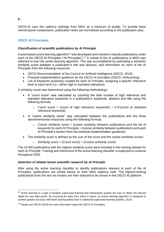OECD.AI uses the saliency rankings from MAG as a measure of quality. To provide fairer intertemporal comparisons, publication ranks are normalised according to the publication year.

#### **OECD AI Principles**

#### *Classification of scientific publications by AI Principle*

A pool-based active learning algorithm<sup>12</sup> was developed and trained to classify publications under each of the OECD AI Principles ("AI Principles").<sup>13</sup> A subset of the AI publications in MAG was selected to train the active learning algorithm. This was accomplished by estimating a semantic similarity score between a publication's title and abstract, and information on each of the AI Principles from the following resources:

- OECD Recommendation of the Council on Artificial Intelligence (OECD, 2019).
- Practical implementation guidance for the OECD AI principles (OECD, forthcoming).
- List of keywords purposely created for each AI Principle, assigning a specific relevance level to each term (i.e., either high or standard relevance).

A similarity score was determined using the following methodology:

- A "count score" was calculated by counting the total number of high relevance and standard relevance keywords in a publication's keywords, abstract and title using the following formula:
	- o *Count score* = (count of high relevance keywords) + 0.3\*(count of standard relevance keywords)
- A "cosine similarity score" was calculated between the publications and the three abovementioned resources using the following formula:
	- o *Cosine similarity score* = (cosine similarity between publications and the list of keywords for each AI Principle) + (cosine similarity between publications and each AI Principle's section from the practical implementation guidance)
- The similarity score is defined as the sum of the count and the cosine similarity scores:
	- o *Similarity score* = (Count score) + (Cosine similarity score)

The 10 000 publications with the highest similarity score were included in the training dataset for each AI Principle. Training and refinement of the active learning classifier is expected to continue throughout 2020.

#### *Selection of related recent scientific research by AI Principle*

After using the active learning classifier to identify publications relevant to each of the AI Principles, publications are sorted based on their MAG saliency rank. The highest-ranking publications from the last six months are then selected to be shown in the OECD.AI platform.

<sup>&</sup>lt;sup>12</sup> Active learning is a type of iterative supervised learning that interactively queries the user to obtain the desired labels for new data points. By choosing the data from which it learns, an active learning algorithm is designed to achieve greater accuracy with fewer training labels than in traditional supervised learning (Settles, 2010).

<sup>&</sup>lt;sup>13</sup> Please see OECD (2019) for more information about the OECD AI Principles.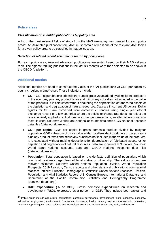#### **Policy areas**

#### *Classification of scientific publications by policy area*

A list of the most relevant fields of study from the MAG taxonomy was created for each policy area<sup>14</sup>. An AI-related publication from MAG must contain at least one of the relevant MAG topics for a given policy area to be classified in that policy area.

#### *Selection of related recent scientific research by policy area*

For each policy area, relevant AI-related publications are sorted based on their MAG saliency rank. The highest-ranking publications in the last six months were then selected to be shown in the OECD.AI platform.

#### **Additional metrics**

Additional metrics are used to construct the y-axis of the "AI publications vs GDP per capita by country, region, in time" chart. These indicators include:

- **GDP**: GDP at purchaser's prices is the sum of gross value added by all resident producers in the economy plus any product taxes and minus any subsidies not included in the value of the products. It is calculated without deducting the depreciation of fabricated assets or the depletion and degradation of natural resources. Data are in current US dollars. Dollar figures for GDP are converted from domestic currencies using single year official exchange rates. For a few countries where the official exchange rate does not reflect the rate effectively applied to actual foreign exchange transactions, an alternative conversion factor is used. *Sources*: World Bank national accounts data and OECD National Accounts data files (data.worldbank.org/).
- **GDP per capita**: GDP per capita is gross domestic product divided by midyear population. GDP is the sum of gross value added by all resident producers in the economy plus any product taxes and minus any subsidies not included in the value of the products. It is calculated without making deductions for depreciation of fabricated assets or for depletion and degradation of natural resources. Data are in current U.S. dollars. *Sources*: World Bank national accounts data and OECD National Accounts data files (data.worldbank.org/).
- **Population**: Total population is based on the de facto definition of population, which counts all residents regardless of legal status or citizenship. The values shown are midyear estimates. *Sources*: United Nations Population Division, World Population Prospects: 2019 Revision; Census reports and other statistical publications from national statistical offices; Eurostat: Demographic Statistics; United Nations Statistical Division, Population and Vital Statistics Report; U.S. Census Bureau: International Database; and Secretariat of the Pacific Community: Statistics and Demography Programme (data.worldbank.org/).
- **R&D expenditure (% of GDP)**: Gross domestic expenditures on research and development (R&D), expressed as a percent of GDP. They include both capital and

<sup>&</sup>lt;sup>14</sup> Policy areas include agriculture, competition, corporate governance, development, digital economy, economy, education, employment, environment, finance and insurance, health, industry and entrepreneurship, innovation, investment, public governance, science and technology, social and welfare issues, tax, trade, and transport.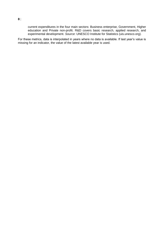current expenditures in the four main sectors: Business enterprise, Government, Higher education and Private non-profit. R&D covers basic research, applied research, and experimental development. *Source*: UNESCO Institute for Statistics (uis.unesco.org).

For these metrics, data is interpolated in years where no data is available. If last year's value is missing for an indicator, the value of the latest available year is used.

**8**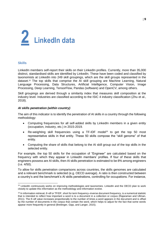

#### **Skills**

LinkedIn members self-report their skills on their LinkedIn profiles. Currently, more than 35,000 distinct, standardised skills are identified by LinkedIn. These have been coded and classified by taxonomists at LinkedIn into 249 skill groupings, which are the skill groups represented in the dataset.<sup>15</sup> The top skills that comprise the AI skill grouping are Machine Learning, Natural Language Processing, Data Structures, Artificial Intelligence, Computer Vision, Image Processing, Deep Learning, TensorFlow, Pandas (software) and OpenCV, among others.

Skill groupings are derived through a similarity index that measures skill composition at the industry level. Industries are classified according to the ISIC 4 industry classification (Zhu et al., 2018).

#### *AI skills penetration (within country)*

The aim of this indicator is to identify the penetration of AI skills in a country through the following methodology:

- Computing frequencies for all self-added skills by LinkedIn members in a given entity (occupation, industry, etc.) in 2015-2019.
- Re-weighting skill frequencies using a TF-IDF model<sup>16</sup> to get the top 50 most representative skills in that entity. These 50 skills compose the "skill genome" of that entity.
- Computing the share of skills that belong to the AI skill group out of the top skills in the selected entity.

For example, the top 50 skills for the occupation of "Engineer" are calculated based on the frequency with which they appear in LinkedIn members' profiles. If four of these skills that engineers possess are AI skills, then AI skills penetration is estimated to be 8% among engineers (i.e. 4/50).

To allow for skills penetration comparisons across countries, the skills genomes are calculated and a relevant benchmark is selected (e.g. OECD average). A ratio is then constructed between a country's and the benchmark's AI skills penetrations, controlling for occupations. For instance,

 $\overline{a}$ <sup>15</sup> LinkedIn continuously works on improving methodologies and taxonomies. LinkedIn and the OECD plan to work closely to update this information as the methodology and information evolve.

<sup>&</sup>lt;sup>16</sup> In information retrieval, tf-idf or TFIDF, short for term frequency-inverse document frequency, is a numerical statistic that is intended to reflect how important a word is to a document in a collection or corpus (Rajaraman and Ullman, 2011). The tf–idf value increases proportionally to the number of times a word appears in the document and is offset by the number of documents in the corpus that contain the word, which helps to adjust for the fact that some words appear more frequently in general (Breitinger, Gipp, and Langer, 2015).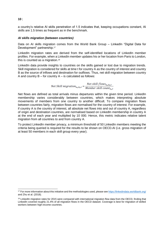a country's relative AI skills penetration of 1.5 indicates that, keeping occupations constant, AI skills are 1.5 times as frequent as in the benchmark.

#### *AI skills migration (between countries)*

Data on AI skills migration comes from the World Bank Group - LinkedIn "Digital Data for Development" partnership.<sup>17</sup>

LinkedIn migration rates are derived from the self-identified locations of LinkedIn member profiles. For example, when a LinkedIn member updates his or her location from Paris to London, this is counted as a migration.<sup>18</sup>

LinkedIn data provide insights to countries on the skills gained or lost due to migration trends. Skill migration is considered for skills at time t for country A as the country of interest and country B as the source of inflows and destination for outflows. Thus, net skill migration between country A and country  $B -$  for country  $A -$  is calculated as follows:

Net Skill migration<sub>as,bs,t</sub> =  $\frac{Net \, skill \, flows_{a_s,b_s,t}}{Member \, skill \, count_{a_s,t}}$ 

Net flows are defined as total arrivals minus departures within the given time period. LinkedIn membership varies considerably between countries, which makes interpreting absolute movements of members from one country to another difficult. To compare migration flows between countries fairly, migration flows are normalised for the country of interest. For example, if country A is the country of interest, all absolute net flows into and out of country A, regardless of origin and destination countries, are normalised based on LinkedIn membership in country A at the end of each year and multiplied by 10 000. Hence, this metric indicates relative talent migration from all countries to and from country A.

To protect LinkedIn member privacy, a minimum threshold of 50 LinkedIn members meeting the criteria being queried is required for the results to be shown on OECD.AI (i.e. gross migration of at least 50 members in each skill group every year).

#### **10**

<sup>17</sup> For more information about this initiative and the methodologies used, please se[e https://linkedindata.worldbank.org/](https://linkedindata.worldbank.org/) and Zhu et al. (2018).

<sup>&</sup>lt;sup>18</sup> LinkedIn migration rates for 2015 were compared with international migration flow data from the OECD, finding that LinkedIn covered roughly 21.4% of all migration flows in the OECD dataset. Coverage is best for migration of skilled workers between high-income countries.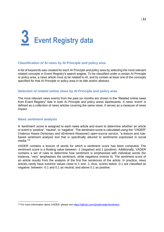# **3 Event Registry data**

#### **Classification of AI news by AI Principle and policy area**

A list of keywords was created for each AI Principle and policy area by selecting the most relevant related concepts in Event Registry's search engine. To be classified under a certain AI Principle or policy area, a news article must a) be related to AI, and b) contain at least one of the concepts specified for that AI Principle or policy area in its title and/or abstract.

#### **Selection of related online news by AI Principle and policy area**

The most relevant news events from the past six months are shown in the "Related online news from Event Registry" lists in both AI Principle and policy areas dashboards. A news 'event' is defined as a collection of news articles covering the same news. It serves as a measure of news impact.

#### **News sentiment analysis**

A 'sentiment' score is assigned to each news article and event to determine whether an article or event is 'positive', 'neutral', or 'negative'. The sentiment score is calculated using the "VADER" (Valence Aware Dictionary and sEntiment Reasoner) open-source service, "a lexicon and rulebased sentiment analysis tool that is specifically attuned to sentiments expressed in social media."<sup>19</sup>

VADER contains a lexicon of words for which a sentiment score has been computed. The sentiment score is a floating value between -1 (negative) and 1 (positive). Additionally, VADER contains a set of rules to determine how sentiment is emphasised with individual words (for instance, "very" emphasises the sentiment, while negations inverse it). The sentiment score of an article results from the analysis of the first five sentences of the article. In practice, news articles rarely have extreme values close to 1 and -1; thus, scores below -0.1 are classified as negative; between -0.1 and 0.1 as neutral; and above 0.1 as positive.

<sup>&</sup>lt;sup>19</sup> For more information about VADER, please see [https://github.com/cjhutto/vaderSentiment.](https://github.com/cjhutto/vaderSentiment)